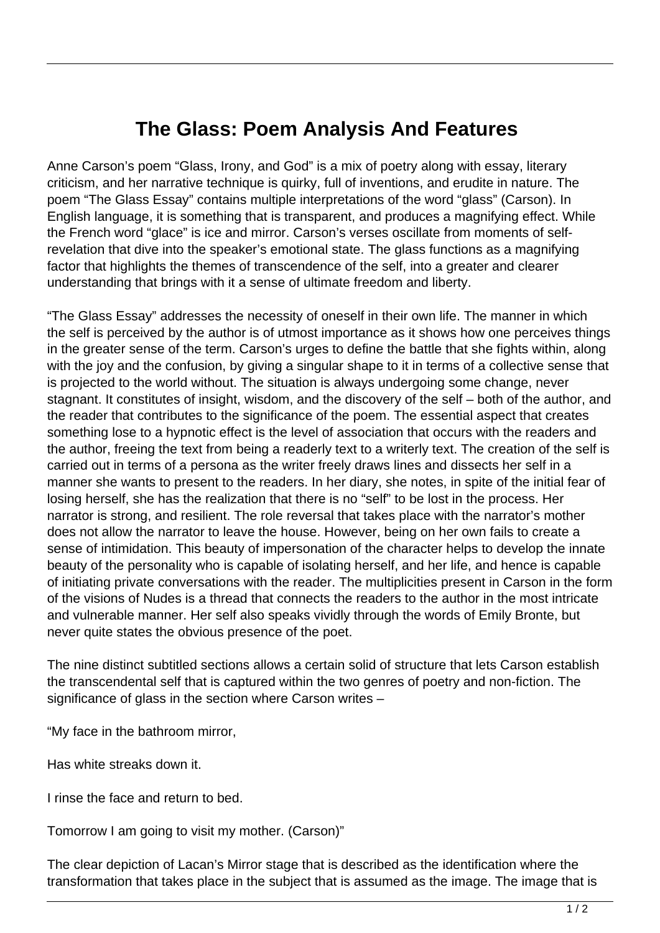## **The Glass: Poem Analysis And Features**

Anne Carson's poem "Glass, Irony, and God" is a mix of poetry along with essay, literary criticism, and her narrative technique is quirky, full of inventions, and erudite in nature. The poem "The Glass Essay" contains multiple interpretations of the word "glass" (Carson). In English language, it is something that is transparent, and produces a magnifying effect. While the French word "glace" is ice and mirror. Carson's verses oscillate from moments of selfrevelation that dive into the speaker's emotional state. The glass functions as a magnifying factor that highlights the themes of transcendence of the self, into a greater and clearer understanding that brings with it a sense of ultimate freedom and liberty.

"The Glass Essay" addresses the necessity of oneself in their own life. The manner in which the self is perceived by the author is of utmost importance as it shows how one perceives things in the greater sense of the term. Carson's urges to define the battle that she fights within, along with the joy and the confusion, by giving a singular shape to it in terms of a collective sense that is projected to the world without. The situation is always undergoing some change, never stagnant. It constitutes of insight, wisdom, and the discovery of the self – both of the author, and the reader that contributes to the significance of the poem. The essential aspect that creates something lose to a hypnotic effect is the level of association that occurs with the readers and the author, freeing the text from being a readerly text to a writerly text. The creation of the self is carried out in terms of a persona as the writer freely draws lines and dissects her self in a manner she wants to present to the readers. In her diary, she notes, in spite of the initial fear of losing herself, she has the realization that there is no "self" to be lost in the process. Her narrator is strong, and resilient. The role reversal that takes place with the narrator's mother does not allow the narrator to leave the house. However, being on her own fails to create a sense of intimidation. This beauty of impersonation of the character helps to develop the innate beauty of the personality who is capable of isolating herself, and her life, and hence is capable of initiating private conversations with the reader. The multiplicities present in Carson in the form of the visions of Nudes is a thread that connects the readers to the author in the most intricate and vulnerable manner. Her self also speaks vividly through the words of Emily Bronte, but never quite states the obvious presence of the poet.

The nine distinct subtitled sections allows a certain solid of structure that lets Carson establish the transcendental self that is captured within the two genres of poetry and non-fiction. The significance of glass in the section where Carson writes –

"My face in the bathroom mirror,

Has white streaks down it.

I rinse the face and return to bed.

Tomorrow I am going to visit my mother. (Carson)"

The clear depiction of Lacan's Mirror stage that is described as the identification where the transformation that takes place in the subject that is assumed as the image. The image that is